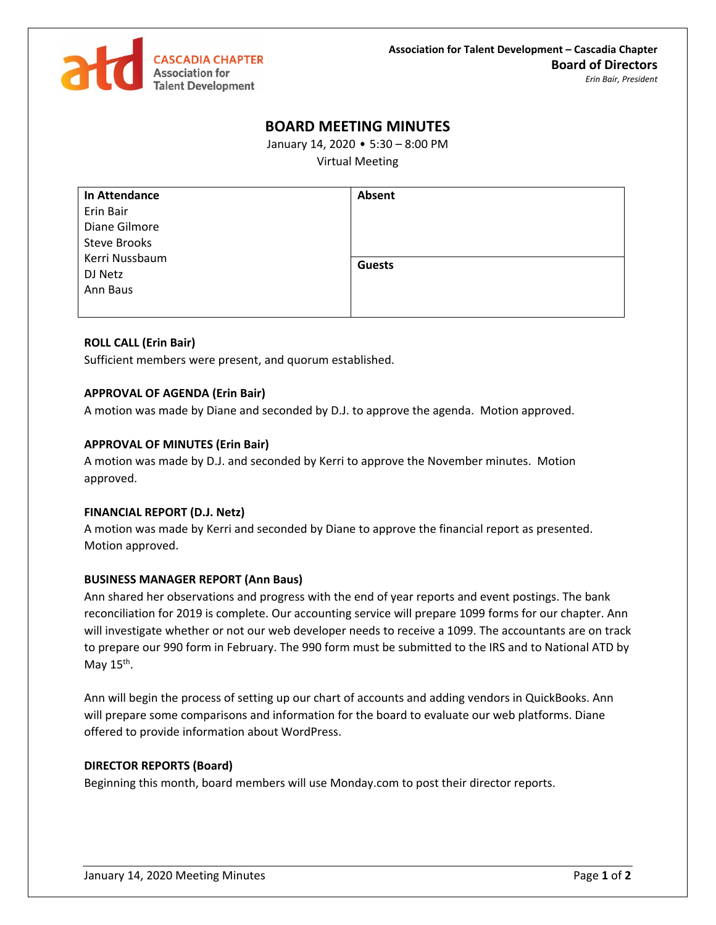

# **BOARD MEETING MINUTES**

January 14, 2020 • 5:30 – 8:00 PM

Virtual Meeting

| In Attendance       | Absent        |
|---------------------|---------------|
| Erin Bair           |               |
| Diane Gilmore       |               |
| <b>Steve Brooks</b> |               |
| Kerri Nussbaum      | <b>Guests</b> |
| DJ Netz             |               |
| Ann Baus            |               |
|                     |               |

# **ROLL CALL (Erin Bair)**

Sufficient members were present, and quorum established.

## **APPROVAL OF AGENDA (Erin Bair)**

A motion was made by Diane and seconded by D.J. to approve the agenda. Motion approved.

# **APPROVAL OF MINUTES (Erin Bair)**

A motion was made by D.J. and seconded by Kerri to approve the November minutes. Motion approved.

## **FINANCIAL REPORT (D.J. Netz)**

A motion was made by Kerri and seconded by Diane to approve the financial report as presented. Motion approved.

## **BUSINESS MANAGER REPORT (Ann Baus)**

Ann shared her observations and progress with the end of year reports and event postings. The bank reconciliation for 2019 is complete. Our accounting service will prepare 1099 forms for our chapter. Ann will investigate whether or not our web developer needs to receive a 1099. The accountants are on track to prepare our 990 form in February. The 990 form must be submitted to the IRS and to National ATD by May 15<sup>th</sup>.

Ann will begin the process of setting up our chart of accounts and adding vendors in QuickBooks. Ann will prepare some comparisons and information for the board to evaluate our web platforms. Diane offered to provide information about WordPress.

## **DIRECTOR REPORTS (Board)**

Beginning this month, board members will use Monday.com to post their director reports.